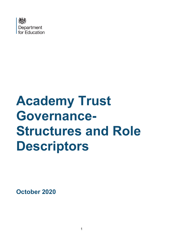

# **Academy Trust Governance-Structures and Role Descriptors**

**October 2020**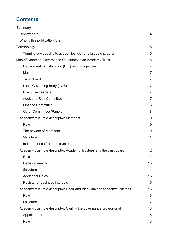# **Contents**

| Summary                                                                 | 4              |
|-------------------------------------------------------------------------|----------------|
| <b>Review date</b>                                                      | 4              |
| Who is this publication for?                                            | 4              |
| Terminology                                                             | 5              |
| Terminology specific to academies with a religious character            | 5              |
| Map of Common Governance Structures in an Academy Trust                 | 6              |
| Department for Education (DfE) and its agencies                         | $\overline{7}$ |
| <b>Members</b>                                                          | $\overline{7}$ |
| <b>Trust Board</b>                                                      | $\overline{7}$ |
| Local Governing Body (LGB)                                              | $\overline{7}$ |
| <b>Executive Leaders</b>                                                | $\overline{7}$ |
| <b>Audit and Risk Committee</b>                                         | $\overline{7}$ |
| <b>Finance Committee</b>                                                | 8              |
| <b>Other Committees/Panels</b>                                          | 8              |
| Academy trust role descriptor: Members                                  | 9              |
| Role                                                                    | 9              |
| The powers of Members                                                   | 10             |
| <b>Structure</b>                                                        | 11             |
| Independence from the trust board                                       | 11             |
| Academy trust role descriptor: Academy Trustees and the trust board     | 12             |
| Role                                                                    | 12             |
| Decision making                                                         | 13             |
| <b>Structure</b>                                                        | 14             |
| <b>Additional Roles</b>                                                 | 15             |
| Register of business interests                                          | 15             |
| Academy trust role descriptor: Chair and Vice-Chair of Academy Trustees | 16             |
| Role                                                                    | 16             |
| <b>Structure</b>                                                        | 17             |
| Academy trust role descriptor: Clerk – the governance professional      | 18             |
| Appointment                                                             | 18             |
| Role                                                                    | 18             |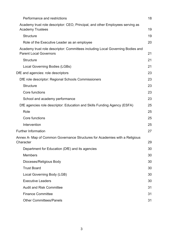| Performance and restrictions                                                                                    | 18 |
|-----------------------------------------------------------------------------------------------------------------|----|
| Academy trust role descriptor: CEO, Principal, and other Employees serving as<br><b>Academy Trustees</b>        | 19 |
| <b>Structure</b>                                                                                                | 19 |
| Role of the Executive Leader as an employee                                                                     | 20 |
| Academy trust role descriptor: Committees including Local Governing Bodies and<br><b>Parent Local Governors</b> | 21 |
| <b>Structure</b>                                                                                                | 21 |
| Local Governing Bodies (LGBs)                                                                                   | 21 |
| DfE and agencies: role descriptors                                                                              | 23 |
| DfE role descriptor: Regional Schools Commissioners                                                             | 23 |
| <b>Structure</b>                                                                                                | 23 |
| Core functions                                                                                                  | 23 |
| School and academy performance                                                                                  | 23 |
| DfE agencies role descriptor: Education and Skills Funding Agency (ESFA)                                        | 25 |
| Role                                                                                                            | 25 |
| Core functions                                                                                                  | 25 |
| Intervention                                                                                                    | 25 |
| <b>Further Information</b>                                                                                      | 27 |
| Annex A- Map of Common Governance Structures for Academies with a Religious<br>Character                        | 29 |
| Department for Education (DfE) and its agencies                                                                 | 30 |
| <b>Members</b>                                                                                                  | 30 |
| Dioceses/Religious Body                                                                                         | 30 |
| <b>Trust Board</b>                                                                                              | 30 |
| Local Governing Body (LGB)                                                                                      | 30 |
| <b>Executive Leaders</b>                                                                                        | 30 |
| <b>Audit and Risk Committee</b>                                                                                 | 31 |
| <b>Finance Committee</b>                                                                                        | 31 |
| <b>Other Committees/Panels</b>                                                                                  | 31 |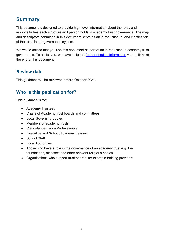# <span id="page-3-0"></span>**Summary**

This document is designed to provide high-level information about the roles and responsibilities each structure and person holds in academy trust governance. The map and descriptors contained in this document serve as an introduction to, and clarification of the roles in the governance system.

We would advise that you use this document as part of an introduction to academy trust governance. To assist you, we have included [further detailed information](#page-26-0) via the links at the end of this document.

## <span id="page-3-1"></span>**Review date**

This guidance will be reviewed before October 2021.

# <span id="page-3-2"></span>**Who is this publication for?**

This guidance is for:

- Academy Trustees
- Chairs of Academy trust boards and committees
- Local Governing Bodies
- Members of academy trusts
- Clerks/Governance Professionals
- Executive and School/Academy Leaders
- School Staff
- Local Authorities
- Those who have a role in the governance of an academy trust e.g. the foundations, dioceses and other relevant religious bodies
- Organisations who support trust boards, for example training providers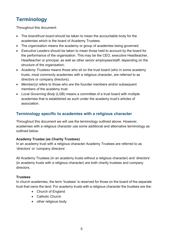# <span id="page-4-0"></span>**Terminology**

Throughout this document:

- The *board/trust board* should be taken to mean the accountable body for the academies which is the board of Academy Trustees.
- The *organisation* means the academy or group of academies being governed;
- *Executive Leaders* should be taken to mean those held to account by the board for the performance of the organisation. This may be the CEO, executive Headteacher, Headteacher or principal, as well as other senior employees/staff, depending on the structure of the organisation;
- *Academy Trustees* means those who sit on the trust board (who in some academy trusts, most commonly academies with a religious character, are referred to as directors or company directors);
- *Member(s)* refers to those who are the founder members and/or subsequent members of the academy trust
- *Local Governing Body* (LGB) means a committee of a trust board with multiple academies that is established as such under the academy trust's articles of association.

#### <span id="page-4-1"></span>**Terminology specific to academies with a religious character**

Throughout this document we will use the terminology outlined above. However, academies with a religious character use some additional and alternative terminology as outlined below.

#### **Academy Trustee (as Charity Trustees)**

In an academy trust with a religious character Academy Trustees are referred to as 'directors' or 'company directors'.

All Academy Trustees (in an academy trusts without a religious character) and 'directors' (in academy trusts with a religious character) are both charity trustees and company directors.

#### **Trustees**

In church academies, the term 'trustees' is reserved for those on the board of the separate trust that owns the land. For academy trusts with a religious character the trustees are the:

- Church of England
- Catholic Church
- other religious body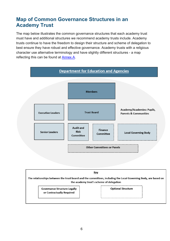# <span id="page-5-0"></span>**Map of Common Governance Structures in an Academy Trust**

The map below illustrates the common governance structures that each academy trust must have and additional structures we recommend academy trusts include. Academy trusts continue to have the freedom to design their structure and scheme of delegation to best ensure they have robust and effective governance. Academy trusts with a religious character use alternative terminology and have slightly different structures - a map reflecting this can be found at [Annex A.](#page-28-0)



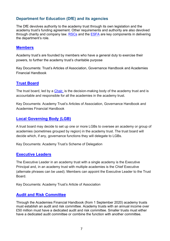#### <span id="page-6-0"></span>**Department for Education (DfE) and its agencies**

The DfE devolves authority to the academy trust through its own legislation and the academy trust's funding agreement. Other requirements and authority are also devolved through charity and company law. [RSCs](#page-22-1) and the **ESFA** are key components in delivering the department's role.

#### <span id="page-6-1"></span>**[Members](#page-8-0)**

Academy trust's are founded by members who have a general duty to exercise their powers, to further the academy trust's charitable purpose

Key Documents: Trust's Articles of Association, Governance Handbook and Academies Financial Handbook

#### <span id="page-6-2"></span>**[Trust Board](#page-11-0)**

The trust board, led by a [Chair,](#page-14-2) is the decision-making body of the academy trust and is accountable and responsible for all the academies in the academy trust.

Key Documents: Academy Trust's Articles of Association, Governance Handbook and Academies Financial Handbook

#### <span id="page-6-3"></span>**[Local Governing Body \(LGB\)](#page-20-2)**

A trust board may decide to set up one or more LGBs to oversee an academy or group of academies (sometimes grouped by region) in the academy trust. The trust board will decide which, if any, governance functions they will delegate to LGBs.

Key Documents: Academy Trust's Scheme of Delegation

#### <span id="page-6-4"></span>**[Executive Leaders](#page-18-0)**

The Executive Leader in an academy trust with a single academy is the Executive Principal and, in an academy trust with multiple academies is the Chief Executive (alternate phrases can be used). Members can appoint the Executive Leader to the Trust Board.

Key Documents: Academy Trust's Article of Association

#### <span id="page-6-5"></span>**[Audit and Risk Committee](#page-30-0)**

Through the Academies Financial Handbook (from 1 September 2020) academy trusts must establish an audit and risk committee. Academy trusts with an annual income over £50 million must have a dedicated audit and risk committee. Smaller trusts must either have a dedicated audit committee or combine the function with another committee.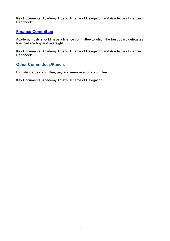Key Documents: Academy Trust's Scheme of Delegation and Academies Financial Handbook

#### <span id="page-7-0"></span>**[Finance Committee](#page-30-1)**

Academy trusts should have a finance committee to which the trust board delegates financial scrutiny and oversight.

Key Documents: Academy Trust's Scheme of Delegation and Academies Financial Handbook

#### <span id="page-7-1"></span>**Other Committees/Panels**

E.g. standards committee, pay and remuneration committee

Key Documents: Academy Trust's Scheme of Delegation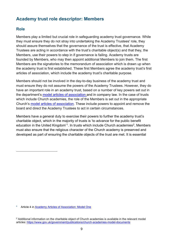# <span id="page-8-0"></span>**Academy trust role descriptor: Members**

#### <span id="page-8-1"></span>**Role**

Members play a limited but crucial role in safeguarding academy trust governance. While they must ensure they do not stray into undertaking the Academy Trustees' role, they should assure themselves that the governance of the trust is effective, that Academy Trustees are acting in accordance with the trust's charitable object(s) and that they, the Members, use their powers to step in if governance is failing. Academy trusts are founded by Members, who may then appoint additional Members to join them. The first Members are the signatories to the memorandum of association which is drawn up when the academy trust is first established. These first Members agree the academy trust's first articles of association, which include the academy trust's charitable purpose.

Members should not be involved in the day-to-day business of the academy trust and must ensure they do not assume the powers of the Academy Trustees. However, they do have an important role in an academy trust, based on a number of key powers set out in the department's [model articles of association](https://www.gov.uk/government/publications/academy-model-memorandum-and-articles-of-association) and in company law. In the case of trusts which include Church academies, the role of the Members is set out in the appropriate Church's [model articles of association.](https://www.gov.uk/government/publications/church-academies-model-documents) These include powers to appoint and remove the board and direct the Academy Trustees to act in certain circumstances.

Members have a general duty to exercise their powers to further the academy trust's charitable object, which in the majority of trusts is 'to advance for the public benefit education in the United Kingdom'<sup>1</sup>. In trusts which include Church academies<sup>2</sup>, Members must also ensure that the religious character of the Church academy is preserved and developed as part of ensuring the charitable objects of the trust are met. It is essential

<span id="page-8-2"></span>**<sup>1</sup>** Article 4 in [Academy Articles of Association: Model One](https://www.gov.uk/government/publications/academy-model-memorandum-and-articles-of-association)

<span id="page-8-3"></span><sup>&</sup>lt;sup>2</sup> Additional information on the charitable object of Church academies is available in the relevant model articles:<https://www.gov.uk/government/publications/church-academies-model-documents>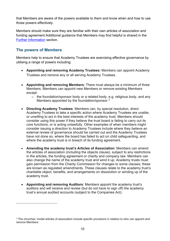that Members are aware of the powers available to them and know when and how to use those powers effectively.

Members should make sure they are familiar with their own articles of association and funding agreement.Additional guidance that Members may find helpful is shared in the [Further Information](#page-26-0) section.

#### <span id="page-9-0"></span>**The powers of Members**

Members help to ensure that Academy Trustees are exercising effective governance by utilising a range of powers including:

- **Appointing and removing Academy Trustees:** Members can appoint Academy Trustees and remove any or all serving Academy Trustees.
- **Appointing and removing Members**: There must always be a minimum of three Members. Members can appoint new Members or remove existing Members except:
	- o the foundation/sponsor body or a related body, e.g. religious body, and any Members appointed by the foundation/sponsor. [3](#page-9-1)
- **Directing Academy Trustees**: Members can, by special resolution, direct Academy Trustees to take a specific action where Academy Trustees are unable, or unwilling to act in the best interests of the academy trust. Members should consider using this power if they believe the trust board is failing to carry out its core functions, or is acting unlawfully. Other examples of when members might consider issuing a direction to Academy Trustees include where they believe an external review of governance should be carried out and the Academy Trustees have not done so, where the board has failed to act on child safeguarding, and where the academy trust is in breach of its funding agreement.
- **Amending the academy trust's Articles of Association**: Members can amend the articles of association (including the objects clause), subject to any restrictions in the articles, the funding agreement or charity and company law. Members can also change the name of the academy trust and wind it up. Academy trusts must gain permission from the Charity Commission for changes to some clauses; these are known as regulated amendments. These clauses relate to the academy trust's charitable object, benefits, and arrangements on dissolution or winding up of the academy trust.
- **Appointing and removing Auditors**: Members appoint the academy trust's auditors and will receive and review (but do not have to sign off) the academy trust's annual audited accounts (subject to the Companies Act).

<span id="page-9-1"></span><sup>&</sup>lt;sup>3</sup> The churches' model articles of association include specific provisions in relation to who can appoint and remove Members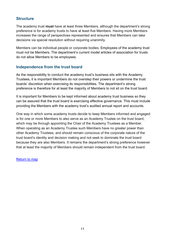#### <span id="page-10-0"></span>**Structure**

The academy trust **must** have at least three Members, although the department's strong preference is for academy trusts to have at least five Members. Having more Members increases the range of perspectives represented and ensures that Members can take decisions via special resolution without requiring unanimity.

Members can be individual people or corporate bodies. Employees of the academy trust must not be Members. The department's current model articles of association for trusts do not allow Members to be employees.

#### <span id="page-10-1"></span>**Independence from the trust board**

As the responsibility to conduct the academy trust's business sits with the Academy Trustees, it is important Members do not overstep their powers or undermine the trust boards' discretion when exercising its responsibilities. The department's strong preference is therefore for at least the majority of Members to not sit on the trust board.

It is important for Members to be kept informed about academy trust business so they can be assured that the trust board is exercising effective governance. This must include providing the Members with the academy trust's audited annual report and accounts.

One way in which some academy trusts decide to keep Members informed and engaged is for one or more Members to also serve as an Academy Trustee on the trust board, which may be through appointing the Chair of the Academy Trustees as a Member. When operating as an Academy Trustee such Members have no greater power than other Academy Trustees, and should remain conscious of the corporate nature of the trust board's identity and decision making and not seek to dominate the trust board because they are also Members. It remains the department's strong preference however that at least the majority of Members should remain independent from the trust board.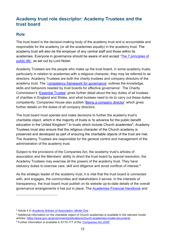## <span id="page-11-0"></span>**Academy trust role descriptor: Academy Trustees and the trust board**

#### <span id="page-11-1"></span>**Role**

The trust board is the decision-making body of the academy trust and is accountable and responsible for the academy (or all the academies equally) in the academy trust. The academy trust will also be the employer of any central staff and those within its academies. Everyone in governance should be aware of and accept ['The 7 principles of](https://www.gov.uk/government/publications/the-7-principles-of-public-life)  [public life',](https://www.gov.uk/government/publications/the-7-principles-of-public-life) as set out by Lord Nolan.

Academy Trustees are the people who make up the trust board, in some academy trusts, particularly in relation to academies with a religious character, they may be referred to as directors. Academy Trustees are both the charity trustees and company directors of the academy trust. The '[competency framework for governance'](https://assets.publishing.service.gov.uk/government/uploads/system/uploads/attachment_data/file/583733/Competency_framework_for_governance_.pdf) outlines the knowledge, skills and behaviors needed by trust boards for effective governance'. The Charity Commission's ['Essential Trustee'](https://www.gov.uk/government/publications/the-essential-trustee-what-you-need-to-know-cc3/the-essential-trustee-what-you-need-to-know-what-you-need-to-do) gives further detail about the key duties of all trustees of charities in England and Wales, and what trustees need to do to carry out these duties competently. Companies House also publish ['Being a company director'](https://www.gov.uk/guidance/being-a-company-director) which gives further details on the duties of all company directors.

The trust board must operate and make decisions to further the academy trust's charitable object, which in the majority of trusts is 'to advance for the public benefit education in the United Kingdom<sup>'4</sup>. In trusts which include Church academies<sup>[5](#page-11-3)</sup>, Academy Trustees must also ensure that the religious character of the Church academy is preserved and developed as part of ensuring the charitable objects of the trust are met. The Academy Trustees are responsible for the general control and management of the administration of the academy trust.

Subject to the provisions of the Companies Act, the academy trust's articles of association and the Members' ability to direct the trust board by special resolution, the Academy Trustees may exercise all the powers of the academy trust. They have statutory duties to exercise care, skill and diligence and avoid conflicts of interest.<sup>[6](#page-11-4)</sup>

As the strategic leader of the academy trust, it is vital that the trust board is connected with, and engages, the communities and stakeholders it serves. In the interests of transparency, the trust board must publish on its website up-to-date details of the overall governance arrangements it has put in place. The **Academies [Financial Handbook](https://www.gov.uk/guidance/academies-financial-handbook)** and

<span id="page-11-2"></span><sup>4</sup> Article 4 in *[Academy Articles of Association: Model One](https://www.gov.uk/government/publications/academy-model-memorandum-and-articles-of-association)*

<span id="page-11-3"></span><sup>5</sup> Additional information on the charitable object of Church academies is available in the relevant model articles:<https://www.gov.uk/government/publications/church-academies-model-documents>

<span id="page-11-4"></span><sup>6</sup> Further information is available in S170-177 of the *['Companies Act 2006'](http://www.legislation.gov.uk/ukpga/2006/46/contents)*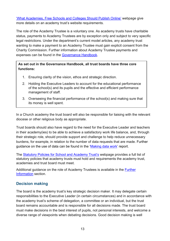['What Academies, Free Schools and Colleges Should Publish Online'](https://www.gov.uk/guidance/what-academies-free-schools-and-colleges-should-publish-online) webpage give more details on an academy trust's website requirements.

The role of the Academy Trustee is a voluntary one. As academy trusts have charitable status, payments to Academy Trustees are by exception only and subject to very specific legal restrictions. Under the department's current model articles, any academy trust wanting to make a payment to an Academy Trustee must gain explicit consent from the Charity Commission. Further information about Academy Trustee payments and expenses can be found in the [Governance Handbook.](https://assets.publishing.service.gov.uk/government/uploads/system/uploads/attachment_data/file/788234/governance_handbook_2019.pdf)

**As set out in the Governance Handbook, all trust boards have three core functions:**

- 1. Ensuring clarity of the vision, ethos and strategic direction.
- 2. Holding the Executive Leaders to account for the educational performance of the school(s) and its pupils and the effective and efficient performance management of staff.
- 3. Overseeing the financial performance of the school(s) and making sure that its money is well spent.

In a Church academy the trust board will also be responsible for liaising with the relevant diocese or other religious body as appropriate.

Trust boards should also have regard to the need for the Executive Leader and teachers in their academy(ies) to be able to achieve a satisfactory work life balance, and, through their strategic role, should provide support and challenge to help reduce unnecessary burdens, for example, in relation to the number of data requests that are made. Further guidance on the use of data can be found in the ['Making data work'](https://assets.publishing.service.gov.uk/government/uploads/system/uploads/attachment_data/file/754349/Workload_Advisory_Group-report.pdf) report.

The [Statutory Policies for School and Academy Trust's](https://www.gov.uk/government/publications/statutory-policies-for-schools-and-academy-trusts/statutory-policies-for-schools-and-academy-trusts) webpage provides a full list of statutory policies that academy trusts must hold and requirements the academy trust, academies and trust board must meet.

Additional guidance on the role of Academy Trustees is available in the [Further](#page-26-0)  [Information](#page-26-0) section.

#### <span id="page-12-0"></span>**Decision making**

The board is the academy trust's key strategic decision maker. It may delegate certain responsibilities to the Executive Leader (in certain circumstances) and in accordance with the academy trust's scheme of delegation, a committee or an individual, but the trust board remains accountable and is responsible for all decisions made. The trust board must make decisions in the best interest of pupils, not personal interests, and welcome a diverse range of viewpoints when debating decisions. Good decision making is well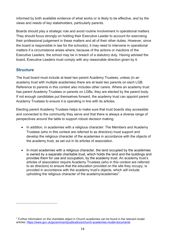informed by both available evidence of what works or is likely to be effective, and by the views and needs of key stakeholders, particularly parents.

Boards should play a strategic role and avoid routine involvement in operational matters. They should focus strongly on holding their Executive Leader to account for exercising their professional judgement in these matters and all of their other duties. However, since the board is responsible in law for the school(s), it may need to intervene in operational matters if a circumstance arises where, because of the actions or inactions of the Executive Leaders, the school may be in breach of a statutory duty. Having advised the board, Executive Leaders must comply with any reasonable direction given by it.

#### <span id="page-13-0"></span>**Structure**

The trust board must include at least two parent Academy Trustees, unless (in an academy trust with multiple academies) there are at least two parents on each LGB. Reference to parents in this context also includes other carers. Where an academy trust has parent Academy Trustees or parents on LGBs, they are elected by the parent body. If not enough candidates put themselves forward, the academy trust can appoint parent Academy Trustees to ensure it is operating in line with its articles.

Electing parent Academy Trustees helps to make sure that trust boards stay accessible and connected to the community they serve and that there is always a diverse range of perspectives around the table to support robust decision making.

- In addition, in academies with a religious character: The Members and Academy Trustees (who in this context are referred to as directors) must support and develop the religious character of the academies in accordance with the objects of the academy trust, as set out in its articles of association.
- In most academies with a religious character, the land occupied by the academies is owned by a separate charitable trust, which holds the land and the buildings and provides them for use and occupation, by the academy trust. An academy trust's articles of association require Academy Trustees (who in this context are referred to as directors) to ensure that the education provided on the site they occupy, is provided in accordance with the academy trust's objects, which will include upholding the religious character of the academy/academies<sup>7</sup>.

<span id="page-13-1"></span> $7$  Further information on the charitable object in Church academies can be found in the relevant model articles:<https://www.gov.uk/government/publications/church-academies-model-documents>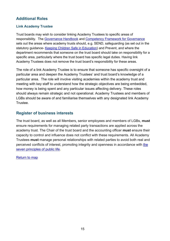#### <span id="page-14-0"></span>**Additional Roles**

#### <span id="page-14-3"></span>**Link Academy Trustee**

Trust boards may wish to consider linking Academy Trustees to specific areas of responsibility. The [Governance Handbook](https://www.gov.uk/government/publications/governance-handbook) and [Competency Framework for Governance](https://www.gov.uk/government/publications/governance-handbook) sets out the areas where academy trusts should, e.g. SEND, safeguarding (as set out in the statutory guidance- [Keeping Children Safe in Education\)](https://www.gov.uk/government/publications/keeping-children-safe-in-education--2) and Prevent, and where the department recommends that someone on the trust board should take on responsibility for a specific area, particularly where the trust board has specific legal duties. Having link Academy Trustees does not remove the trust board's responsibility for these areas.

The role of a link Academy Trustee is to ensure that someone has specific oversight of a particular area and deepen the Academy Trustees' and trust board's knowledge of a particular area. The role will involve visiting academies within the academy trust and meeting with key staff to understand how the strategic objectives are being embedded, how money is being spent and any particular issues affecting delivery. These roles should always remain strategic and not operational. Academy Trustees and members of LGBs should be aware of and familiarise themselves with any designated link Academy **Trustee** 

#### <span id="page-14-1"></span>**Register of business interests**

<span id="page-14-2"></span>The trust board, as well as all Members, senior employees and members of LGBs, **must**  ensure requirements for managing related party transactions are applied across the academy trust. The Chair of the trust board and the accounting officer **must** ensure their capacity to control and influence does not conflict with these requirements. All Academy Trustees **must** manage personal relationships with related parties to avoid both real and perceived conflicts of interest, promoting integrity and openness in accordance with [the](https://www.gov.uk/government/publications/the-7-principles-of-public-life)  [seven principles of public life.](https://www.gov.uk/government/publications/the-7-principles-of-public-life)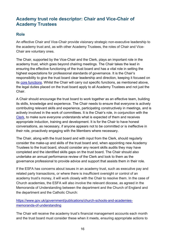## <span id="page-15-0"></span>**Academy trust role descriptor: Chair and Vice-Chair of Academy Trustees**

#### <span id="page-15-1"></span>**Role**

An effective Chair and Vice-Chair provide visionary strategic non-executive leadership to the academy trust and, as with other Academy Trustees, the roles of Chair and Vice-Chair are voluntary ones.

The Chair, supported by the Vice-Chair and the Clerk, plays an important role in the academy trust, which goes beyond chairing meetings. The Chair takes the lead in ensuring the effective functioning of the trust board and has a vital role in setting the highest expectations for professional standards of governance. It is the Chair's responsibility to give the trust board clear leadership and direction, keeping it focused on its [core functions.](#page-11-1) Whilst the Chair will carry out specific functions, as mentioned above, the legal duties placed on the trust board apply to all Academy Trustees and not just the Chair.

A Chair should encourage the trust board to work together as an effective team, building its skills, knowledge and experience. The Chair needs to ensure that everyone is actively contributing relevant skills and experience, participating constructively in meetings, and is actively involved in the work of committees. It is the Chair's role, in conjunction with the [Clerk,](#page-17-0) to make sure everyone understands what is expected of them and receives appropriate induction, training and development. It is for the Chair to have honest conversations, as necessary, if anyone appears not to be committed or is ineffective in their role, proactively engaging with the Members where necessary.

The Chair, along with the trust board and with input from the Clerk, should regularly consider the make-up and skills of the trust board and, when appointing new Academy Trustees to the trust board, should consider any recent skills audits they may have completed and the identified skills gaps on the trust board. The Chair should also undertake an annual performance review of the Clerk and look to them as the governance professional to provide advice and support that assists them in their role.

If the ESFA has concerns about issues in an academy trust, such as executive pay and related party transactions, or where there is insufficient oversight or control of an academy trust's money, it will work closely with the Chair to resolve them. In the case of Church academies, the ESFA will also involve the relevant diocese, as agreed in the Memoranda of Understanding between the department and the Church of England and the department and the Catholic Church:

#### [https://www.gov.uk/government/publications/church-schools-and-academies](https://www.gov.uk/government/publications/church-schools-and-academies-memoranda-of-understanding)[memoranda-of-understanding](https://www.gov.uk/government/publications/church-schools-and-academies-memoranda-of-understanding)

The Chair will receive the academy trust's financial management accounts each month and the trust board must consider these when it meets, ensuring appropriate actions to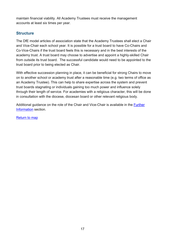maintain financial viability. All Academy Trustees must receive the management accounts at least six times per year.

#### <span id="page-16-0"></span>**Structure**

The DfE model articles of association state that the Academy Trustees shall elect a Chair and Vice-Chair each school year. It is possible for a trust board to have Co-Chairs and Co-Vice-Chairs if the trust board feels this is necessary and in the best interests of the academy trust. A trust board may choose to advertise and appoint a highly-skilled Chair from outside its trust board. The successful candidate would need to be appointed to the trust board prior to being elected as Chair.

With effective succession planning in place, it can be beneficial for strong Chairs to move on to another school or academy trust after a reasonable time (e.g. two terms of office as an Academy Trustee). This can help to share expertise across the system and prevent trust boards stagnating or individuals gaining too much power and influence solely through their length of service. For academies with a religious character, this will be done in consultation with the diocese, diocesan board or other relevant religious body.

Additional guidance on the role of the Chair and Vice-Chair is available in the [Further](#page-26-0)  [Information](#page-26-0) section.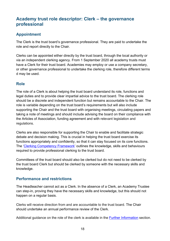## <span id="page-17-0"></span>**Academy trust role descriptor: Clerk – the governance professional**

#### <span id="page-17-1"></span>**Appointment**

The Clerk is the trust board's governance professional. They are paid to undertake the role and report directly to the Chair.

Clerks can be appointed either directly by the trust board, through the local authority or via an independent clerking agency. From 1 September 2020 all academy trusts must have a Clerk for their trust board. Academies may employ or use a company secretary, or other governance professional to undertake the clerking role, therefore different terms d may be used.

#### <span id="page-17-2"></span>**Role**

The role of a Clerk is about helping the trust board understand its role, functions and legal duties and to provide clear impartial advice to the trust board. The clerking role should be a discrete and independent function but remains accountable to the Chair. The role is variable depending on the trust board's requirements but will also include supporting the Chair and the trust board with organising meetings, circulating papers and taking a note of meetings and should include advising the board on their compliance with the Articles of Association, funding agreement and with relevant legislation and regulations.

Clerks are also responsible for supporting the Chair to enable and facilitate strategic debate and decision making. This is crucial in helping the trust board exercise its functions appropriately and confidently, so that it can stay focused on its core functions. The ['Clerking Competency Framework'](https://assets.publishing.service.gov.uk/government/uploads/system/uploads/attachment_data/file/609971/Clerking_competency_framework.pdf) outlines the knowledge, skills and behaviours required to provide professional clerking to the trust board.

Committees of the trust board should also be clerked but do not need to be clerked by the trust board Clerk but should be clerked by someone with the necessary skills and knowledge.

#### <span id="page-17-3"></span>**Performance and restrictions**

The Headteacher cannot act as a Clerk. In the absence of a Clerk, an Academy Trustee can step-in, proving they have the necessary skills and knowledge, but this should not happen on a regular basis.

Clerks will receive direction from and are accountable to the trust board. The Chair should undertake an annual performance review of the Clerk.

Additional guidance on the role of the clerk is available in the [Further Information](#page-26-0) section.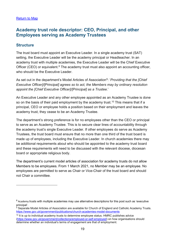## <span id="page-18-0"></span>**Academy trust role descriptor: CEO, Principal, and other Employees serving as Academy Trustees**

#### <span id="page-18-1"></span>**Structure**

The trust board must appoint an Executive Leader. In a single academy trust (SAT) setting, the Executive Leader will be the academy principal or Headteacher. In an academy trust with multiple academies, the Executive Leader will be the Chief Executive Officer (CEO) or equivalent. $8$  The academy trust must also appoint an accounting officer, who should be the Executive Leader.

As set out in the department's Model Articles of Association<sup>[9](#page-18-3)</sup>: '*Providing that the [Chief Executive Officer]/[Principal] agrees so to act, the Members may by ordinary resolution appoint the [Chief Executive Officer]/[Principal] as a Trustee*.'

An Executive Leader and any other employee appointed as an Academy Trustee is done so on the basis of their paid employment by the academy trust.<sup>[10](#page-18-4)</sup> This means that if a principal, CEO or employee holds a position based on their employment and leaves the academy trust, they cease to be an Academy Trustee.

The department's strong preference is for no employees other than the CEO or principal to serve as an Academy Trustee. This is to secure clear lines of accountability through the academy trust's single Executive Leader. If other employees do serve as Academy Trustees, the trust board must ensure that no more than one third of the trust board is made up of employees, including the Executive Leader. In church academies there may be additional requirements about who should be appointed to the academy trust board and these requirements will need to be discussed with the relevant diocese, diocesan board or appropriate religious body.

The department's current model articles of association for academy trusts do not allow Members to be employees. From 1 March 2021, no Member may be an employee. No employees are permitted to serve as Chair or Vice-Chair of the trust board and should not Chair a committee.

<span id="page-18-2"></span><sup>&</sup>lt;sup>8</sup> Academy trusts with multiple academies may use alternative descriptions for this post such as 'executive principal'.

<span id="page-18-3"></span><sup>&</sup>lt;sup>9</sup> Separate Model Articles of Association are available for Church of England and Catholic Academy Trusts. <https://www.gov.uk/government/publications/church-academies-model-documents>

<span id="page-18-4"></span> $10$  It is up to individual academy trusts to determine employee status. HMRC publishes advice [\(https://www.gov.uk/government/collections/employed-or-self-employed\)](https://www.gov.uk/government/collections/employed-or-self-employed) on how organisations should determine whether an individual's terms of engagement are that of employment.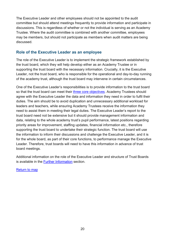The Executive Leader and other employees should not be appointed to the audit committee but should attend meetings frequently to provide information and participate in discussions. This is regardless of whether or not the individual is serving as an Academy Trustee. Where the audit committee is combined with another committee, employees may be members, but should not participate as members when audit matters are being discussed.

#### <span id="page-19-0"></span>**Role of the Executive Leader as an employee**

The role of the Executive Leader is to implement the strategic framework established by the trust board, which they will help develop either as an Academy Trustee or in supporting the trust board with the necessary information. Crucially, it is the Executive Leader, not the trust board, who is responsible for the operational and day-to-day running of the academy trust, although the trust board may intervene in certain circumstances.

One of the Executive Leader's responsibilities is to provide information to the trust board so that the trust board can meet their [three core objectives.](#page-11-1) Academy Trustees should agree with the Executive Leader the data and information they need in order to fulfil their duties. The aim should be to avoid duplication and unnecessary additional workload for leaders and teachers, while ensuring Academy Trustees receive the information they need to assist them in meeting their legal duties. The Executive Leader's report to the trust board need not be extensive but it should provide management information and data, relating to the whole academy trust's pupil performance, latest positions regarding priority areas for improvement, staffing updates, financial information etc., therefore supporting the trust board to undertake their strategic function. The trust board will use the information to inform their discussions and challenge the Executive Leader, and it is for the whole board, as part of their core functions, to performance manage the Executive Leader. Therefore, trust boards will need to have this information in advance of trust board meetings.

Additional information on the role of the Executive Leader and structure of Trust Boards is available in the [Further Information](#page-26-0) section.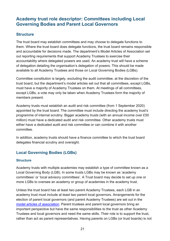## <span id="page-20-0"></span>**Academy trust role descriptor: Committees including Local Governing Bodies and Parent Local Governors**

#### <span id="page-20-1"></span>**Structure**

The trust board may establish committees and may choose to delegate functions to them. Where the trust board does delegate functions, the trust board remains responsible and accountable for decisions made. The department's Model Articles of Association set out reporting requirements that support Academy Trustees to exercise their accountability where delegated powers are used. An academy trust will have a scheme of delegation detailing the organisation's delegation of powers. This should be made available to all Academy Trustees and those on Local Governing Bodies (LGBs).

Committee constitution is largely, excluding the audit committee, at the discretion of the trust board, but the department's model articles set out that all committees, except LGBs, must have a majority of Academy Trustees on them. At meetings of all committees, except LGBs, a vote may only be taken when Academy Trustees form the majority of members present.

Academy trusts must establish an audit and risk committee (from 1 September 2020) appointed by the trust board. The committee must include directing the academy trust's programme of internal scrutiny. Bigger academy trusts (with an annual income over £50 million) must have a dedicated audit and risk committee. Other academy trusts must either have a dedicated audit and risk committee or can combine it with another committee.

In addition, academy trusts should have a finance committee to which the trust board delegates financial scrutiny and oversight.

### <span id="page-20-2"></span>**Local Governing Bodies (LGBs)**

#### **Structure**

Academy trusts with multiple academies may establish a type of committee known as a Local Governing Body (LGB). In some trusts LGBs may be known as 'academy committees' or 'local advisory committees'. A Trust board may decide to set up one or more LGBs to oversee an academy or group of academies in the academy trust.

Unless the trust board has at least two parent Academy Trustees, each LGB in an academy trust must include at least two parent local governors. Arrangements for the election of parent local governors (and parent Academy Trustees) are set out in the [model articles of association.](https://www.gov.uk/government/publications/academy-model-memorandum-and-articles-of-association) Parent trustees and parent local governors bring an important perspective but have the same responsibilities to the trust as other Academy Trustees and local governors and need the same skills. Their role is to support the trust, rather than act as parent representatives. Having parents on LGBs (or trust boards) is not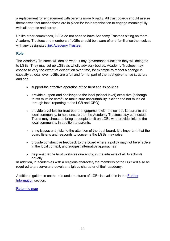a replacement for engagement with parents more broadly. All trust boards should assure themselves that mechanisms are in place for their organisation to engage meaningfully with all parents and carers.

Unlike other committees, LGBs do not need to have Academy Trustees sitting on them. Academy Trustees and members of LGBs should be aware of and familiarise themselves with any designated [link Academy Trustee.](#page-14-3)

#### **Role**

The Academy Trustees will decide what, if any, governance functions they will delegate to LGBs. They may set up LGBs as wholly advisory bodies. Academy Trustees may choose to vary the extent of delegation over time, for example to reflect a change in capacity at local level. LGBs are a full and formal part of the trust governance structure and can:

- support the effective operation of the trust and its policies
- provide support and challenge to the local (school level) executive (although trusts must be careful to make sure accountability is clear and not muddled through local reporting to the LGB and CEO)
- provide a vehicle for trust board engagement with the school, its parents and local community, to help ensure that the Academy Trustees stay connected. Trusts may choose to bring in people to sit on LGBs who provide links to the local community, in addition to parents.
- bring issues and risks to the attention of the trust board. It is important that the board listens and responds to concerns the LGBs may raise.
- provide constructive feedback to the board where a policy may not be effective in the local context, and suggest alternative approaches
- help ensure the trust works as one entity, in the interests of all its schools equally

In addition, in academies with a religious character, the members of the LGB will also be required to preserve and develop religious character of their academy.

Additional guidance on the role and structures of LGBs is available in the [Further](#page-26-0)  [Information](#page-26-0) section.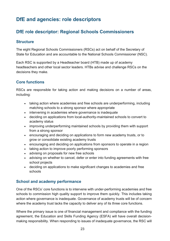# <span id="page-22-0"></span>**DfE and agencies: role descriptors**

## <span id="page-22-1"></span>**DfE role descriptor: Regional Schools Commissioners**

#### <span id="page-22-2"></span>**Structure**

The eight Regional Schools Commissioners (RSCs) act on behalf of the Secretary of State for Education and are accountable to the National Schools Commissioner (NSC).

Each RSC is supported by a Headteacher board (HTB) made up of academy headteachers and other local sector leaders. HTBs advise and challenge RSCs on the decisions they make.

#### <span id="page-22-3"></span>**Core functions**

RSCs are responsible for taking action and making decisions on a number of areas, including:

- taking action where academies and free schools are underperforming, including matching schools to a strong sponsor where appropriate
- intervening in academies where governance is inadequate
- deciding on applications from local-authority-maintained schools to convert to academy status
- improving underperforming maintained schools by providing them with support from a strong sponsor
- encouraging and deciding on applications to form new academy trusts, or to grow or consolidate existing academy trusts
- encouraging and deciding on applications from sponsors to operate in a region
- taking action to improve poorly performing sponsors
- advising on proposals for new free schools
- advising on whether to cancel, defer or enter into funding agreements with free school projects
- deciding on applications to make [significant changes to academies and free](https://www.gov.uk/government/publications/making-significant-changes-to-an-existing-academy)  [schools](https://www.gov.uk/government/publications/making-significant-changes-to-an-existing-academy)

#### <span id="page-22-4"></span>**School and academy performance**

One of the RSCs' core functions is to intervene with under-performing academies and free schools to commission high quality support to improve them quickly. This includes taking action where governance is inadequate. Governance of academy trusts will be of concern where the academy trust lacks the capacity to deliver any of its three core functions.

Where the primary issue is one of financial management and compliance with the funding agreement, the Education and Skills Funding Agency (ESFA) will have overall decisionmaking responsibility. When responding to issues of inadequate governance, the RSC will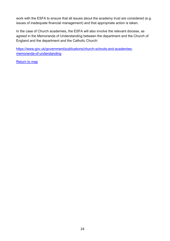work with the ESFA to ensure that all issues about the academy trust are considered (e.g. issues of inadequate financial management) and that appropriate action is taken.

In the case of Church academies, the ESFA will also involve the relevant diocese, as agreed in the Memoranda of Understanding between the department and the Church of England and the department and the Catholic Church:

[https://www.gov.uk/government/publications/church-schools-and-academies](https://www.gov.uk/government/publications/church-schools-and-academies-memoranda-of-understanding)[memoranda-of-understanding](https://www.gov.uk/government/publications/church-schools-and-academies-memoranda-of-understanding)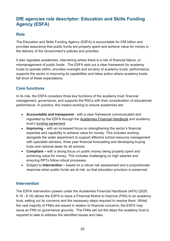## <span id="page-24-0"></span>**DfE agencies role descriptor: Education and Skills Funding Agency (ESFA)**

#### <span id="page-24-1"></span>**Role**

The Education and Skills Funding Agency (ESFA) is accountable for £58 billion and provides assurance that public funds are properly spent and achieve value for money in the delivery of the Government's policies and priorities.

It also regulates academies, intervening where there is a risk of financial failure, or mismanagement of public funds. The ESFA sets out a clear framework for academy trusts to operate within; provides oversight and scrutiny of academy trusts' performance; supports the sector in improving its capabilities and takes action where academy trusts fall short of these expectations.

#### <span id="page-24-2"></span>**Core functions**

In its role, the ESFA considers three key functions of the academy trust: financial management, governance, and supports the RSCs with their consideration of educational performance. In practice, this means working to ensure academies are:

- **Accountable and transparent** with a clear framework communicated and regulated by the ESFA through the [Academies Financial Handbook](https://www.gov.uk/government/publications/academies-financial-handbook) and academy trust's [funding agreement.](https://www.gov.uk/government/publications/academy-and-free-school-funding-agreements-single-academy-trust)
- **Improving** with an increased focus on strengthening the sector's financial expertise and capability to achieve value for money. This includes working alongside the wider department to support effective school resource management with specialist advisers, three year financial forecasting and developing buying hubs and national deals for all schools.
- **Compliant** with a strong focus on public money being properly spent and achieving value for money. This includes challenging on high salaries and ensuring RPTs follow robust processes.
- Subject to **Intervention** based on a robust risk assessment and a proportionate response when public funds are at risk, so that education provision is preserved.

#### <span id="page-24-3"></span>**Intervention**

The ESFA intervention powers under the [Academies Financial Handbook](https://www.gov.uk/government/publications/academies-financial-handbook) (AFH) (2020, 6.15 - 6.19) allows the ESFA to issue a Financial Notice to Improve (FNtI) to an academy trust, setting out its concerns and the necessary steps required to resolve them. Whilst the vast majority of FNtIs are issued in relation to financial concerns, the ESFA may issue an FNtI on governance grounds. The FNtIs set out the steps the academy trust is required to take to address the identified issues and risks.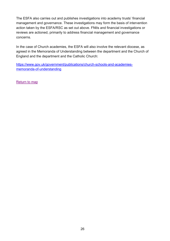The ESFA also carries out and publishes investigations into academy trusts' financial management and governance. These investigations may form the basis of intervention action taken by the ESFA/RSC as set out above. FNtIs and financial investigations or reviews are actioned, primarily to address financial management and governance concerns.

In the case of Church academies, the ESFA will also involve the relevant diocese, as agreed in the Memoranda of Understanding between the department and the Church of England and the department and the Catholic Church:

[https://www.gov.uk/government/publications/church-schools-and-academies](https://www.gov.uk/government/publications/church-schools-and-academies-memoranda-of-understanding)[memoranda-of-understanding](https://www.gov.uk/government/publications/church-schools-and-academies-memoranda-of-understanding)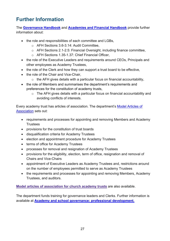# <span id="page-26-0"></span>**Further Information**

The **[Governance Handbook](https://www.gov.uk/government/publications/governance-handbook)** and **[Academies and Financial Handbook](https://www.gov.uk/guidance/academies-financial-handbook)** provide further information about:

- the role and responsibilities of each committee and LGBs,
	- o AFH Sections 3.6-3.14: Audit Committee,
	- o AFH Sections 2.1-2.5: Financial Oversight, including finance committee,
	- o AFH Sections 1.35-1.37: Chief Financial Officer,
- the role of the Executive Leaders and requirements around CEOs, Principals and other employees as Academy Trustees,
- the role of the Clerk and how they can support a trust board to be effective,
- the role of the Chair and Vice-Chair.
	- $\circ$  the AFH gives details with a particular focus on financial accountability,
- the role of Members and summarises the department's requirements and preferences for the constitution of academy trusts,
	- o The AFH gives details with a particular focus on financial accountability and avoiding conflicts of interests.

Every academy trust has articles of association. The department's [Model Articles of](https://www.gov.uk/government/publications/academy-model-memorandum-and-articles-of-association)  [Association](https://www.gov.uk/government/publications/academy-model-memorandum-and-articles-of-association) sets out:

- requirements and processes for appointing and removing Members and Academy **Trustees**
- provisions for the constitution of trust boards
- disqualification criteria for Academy Trustees
- election and appointment procedure for Academy Trustees
- terms of office for Academy Trustees
- processes for removal and resignation of Academy Trustees
- provisions for the eligibility, election, term of office, resignation and removal of Chairs and Vice-Chairs
- appointment of Executive Leaders as Academy Trustees and, restrictions around on the number of employees permitted to serve as Academy Trustees
- the requirements and processes for appointing and removing Members, Academy Trustees, and auditors.

**Model articles of [association](https://www.gov.uk/government/publications/church-academies-model-documents) for church academy trusts** are also available.

The department funds training for governance leaders and Clerks. Further information is available at **[Academy and school governance: professional development.](https://www.gov.uk/search/all?parent=&keywords=academy+governance&level_one_taxon=&manual=&public_timestamp%5Bfrom%5D=&public_timestamp%5Bto%5D=&topical_events=&order=relevance)**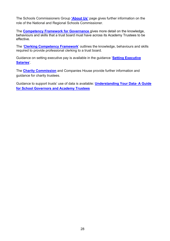The Schools Commissioners Group **['About Us'](https://www.gov.uk/government/organisations/schools-commissioners-group/about)** page gives further information on the role of the National and Regional Schools Commissioner.

The **[Competency Framework for Governance](https://www.gov.uk/government/publications/governance-handbook)** gives more detail on the knowledge, behaviours and skills that a trust board must have across its Academy Trustees to be effective.

The '**[Clerking Competency Framework](https://assets.publishing.service.gov.uk/government/uploads/system/uploads/attachment_data/file/609971/Clerking_competency_framework.pdf)**' outlines the knowledge, behaviours and skills required to provide professional clerking to a trust board.

Guidance on setting executive pay is available in the guidance '**[Setting Executive](https://www.gov.uk/government/publications/setting-executive-salaries-guidance-for-academy-trusts)  [Salaries](https://www.gov.uk/government/publications/setting-executive-salaries-guidance-for-academy-trusts)**'.

The **[Charity Commission](https://www.gov.uk/topic/running-charity/trustee-role-board)** and Companies House provide further information and guidance for charity trustees.

Guidance to support trusts' use of data is available: **[Understanding Your Data- A Guide](https://www.gov.uk/government/publications/understanding-your-data-a-guide-for-school-governors-and-academy-trustees)  [for School Governors and Academy Trustees](https://www.gov.uk/government/publications/understanding-your-data-a-guide-for-school-governors-and-academy-trustees)**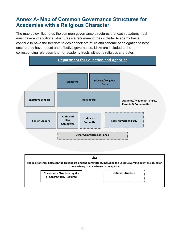# <span id="page-28-0"></span>**Annex A- Map of Common Governance Structures for Academies with a Religious Character**

The map below illustrates the common governance structures that each academy trust must have and additional structures we recommend they include. Academy trusts continue to have the freedom to design their structure and scheme of delegation to best ensure they have robust and effective governance. Links are included to the corresponding role descriptor for academy trusts without a religious character.



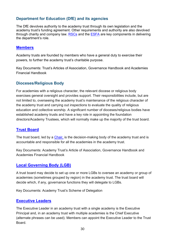#### <span id="page-29-0"></span>**Department for Education (DfE) and its agencies**

The DfE devolves authority to the academy trust through its own legislation and the academy trust's funding agreement. Other requirements and authority are also devolved through charity and company law.  $RSCs$  and the  $ESFA$  are key components in delivering the department's role.

#### <span id="page-29-1"></span>**[Members](#page-8-0)**

Academy trusts are founded by members who have a general duty to exercise their powers, to further the academy trust's charitable purpose.

Key Documents: Trust's Articles of Association, Governance Handbook and Academies Financial Handbook

#### <span id="page-29-2"></span>**Dioceses/Religious Body**

For academies with a religious character, the relevant diocese or religious body exercises general oversight and provides support. Their responsibilities include, but are not limited to, overseeing the academy trust's maintenance of the religious character of the academy trust and carrying out inspections to evaluate the quality of religious education and collective worship. A significant number of dioceses/religious bodies have established academy trusts and have a key role in appointing the foundation directors/Academy Trustees, which will normally make up the majority of the trust board.

#### <span id="page-29-3"></span>**[Trust Board](#page-11-0)**

The trust board, led by a [Chair,](#page-14-2) is the decision-making body of the academy trust and is accountable and responsible for all the academies in the academy trust.

Key Documents: Academy Trust's Article of Association, Governance Handbook and Academies Financial Handbook

#### <span id="page-29-4"></span>**[Local Governing Body \(LGB\)](#page-20-2)**

A trust board may decide to set up one or more LGBs to oversee an academy or group of academies (sometimes grouped by region) in the academy trust. The trust board will decide which, if any, governance functions they will delegate to LGBs.

Key Documents: Academy Trust's Scheme of Delegation

#### <span id="page-29-5"></span>**[Executive Leaders](#page-18-0)**

The Executive Leader in an academy trust with a single academy is the Executive Principal and, in an academy trust with multiple academies is the Chief Executive (alternate phrases can be used). Members can appoint the Executive Leader to the Trust Board.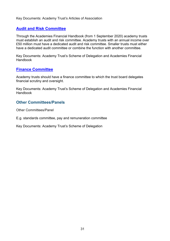Key Documents: Academy Trust's Articles of Association

#### <span id="page-30-0"></span>**[Audit and Risk Committee](#page-20-0)**

Through the Academies Financial Handbook (from 1 September 2020) academy trusts must establish an audit and risk committee. Academy trusts with an annual income over £50 million must have a dedicated audit and risk committee. Smaller trusts must either have a dedicated audit committee or combine the function with another committee.

Key Documents: Academy Trust's Scheme of Delegation and Academies Financial Handbook

#### <span id="page-30-1"></span>**[Finance Committee](#page-20-0)**

Academy trusts should have a finance committee to which the trust board delegates financial scrutiny and oversight.

Key Documents: Academy Trust's Scheme of Delegation and Academies Financial Handbook

#### <span id="page-30-2"></span>**Other Committees/Panels**

Other Committees/Panel

E.g. standards committee, pay and remuneration committee

Key Documents: Academy Trust's Scheme of Delegation